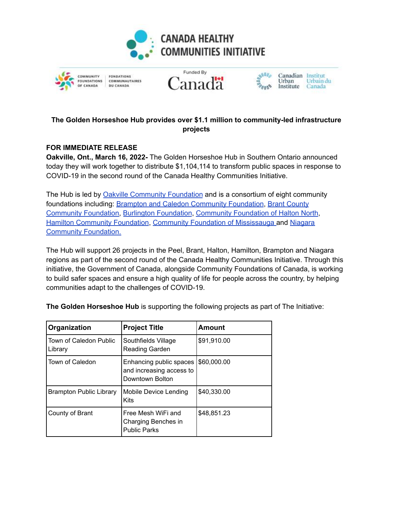







Canadian Institut Urbain du Institute Canada

## **The Golden Horseshoe Hub provides over \$1.1 million to community-led infrastructure projects**

## **FOR IMMEDIATE RELEASE**

**Oakville, Ont., March 16, 2022-** The Golden Horseshoe Hub in Southern Ontario announced today they will work together to distribute \$1,104,114 to transform public spaces in response to COVID-19 in the second round of the Canada Healthy Communities Initiative.

The Hub is led by Oakville [Community](https://www.theocf.org/) Foundation and is a consortium of eight community foundations including: **Brampton and Caledon [Community](https://bramptoncaledoncf.ca/) Foundation**, Brant [County](http://brantcommunityfoundation.ca/) [Community](http://brantcommunityfoundation.ca/) Foundation, Burlington [Foundation](https://burlingtonfoundation.org/), [Community](https://cfhn.ca/) Foundation of Halton North[,](https://hamiltoncommunityfoundation.ca/) Hamilton [Community](https://hamiltoncommunityfoundation.ca/) Foundation, Community Foundation of [Mississauga](https://www.cfofm.org/) and [Niagara](https://niagaracommunityfoundation.org/) Community [Foundation.](https://niagaracommunityfoundation.org/)

The Hub will support 26 projects in the Peel, Brant, Halton, Hamilton, Brampton and Niagara regions as part of the second round of the Canada Healthy Communities Initiative. Through this initiative, the Government of Canada, alongside Community Foundations of Canada, is working to build safer spaces and ensure a high quality of life for people across the country, by helping communities adapt to the challenges of COVID-19.

| Organization                      | <b>Project Title</b>                                                   | <b>Amount</b> |
|-----------------------------------|------------------------------------------------------------------------|---------------|
| Town of Caledon Public<br>Library | Southfields Village<br>Reading Garden                                  | \$91,910.00   |
| Town of Caledon                   | Enhancing public spaces<br>and increasing access to<br>Downtown Bolton | \$60,000.00   |
| <b>Brampton Public Library</b>    | Mobile Device Lending<br>Kits                                          | \$40,330.00   |
| County of Brant                   | Free Mesh WiFi and<br>Charging Benches in<br><b>Public Parks</b>       | \$48,851.23   |

**The Golden Horseshoe Hub** is supporting the following projects as part of The Initiative: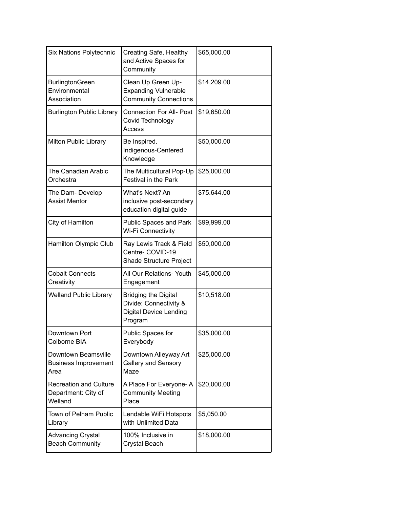| Six Nations Polytechnic                                         | Creating Safe, Healthy<br>and Active Spaces for<br>Community                                      | \$65,000.00 |
|-----------------------------------------------------------------|---------------------------------------------------------------------------------------------------|-------------|
| <b>BurlingtonGreen</b><br>Environmental<br>Association          | Clean Up Green Up-<br><b>Expanding Vulnerable</b><br><b>Community Connections</b>                 | \$14,209.00 |
| <b>Burlington Public Library</b>                                | <b>Connection For All- Post</b><br>Covid Technology<br>Access                                     | \$19,650.00 |
| Milton Public Library                                           | Be Inspired.<br>Indigenous-Centered<br>Knowledge                                                  | \$50,000.00 |
| The Canadian Arabic<br>Orchestra                                | The Multicultural Pop-Up<br>Festival in the Park                                                  | \$25,000.00 |
| The Dam- Develop<br><b>Assist Mentor</b>                        | What's Next? An<br>inclusive post-secondary<br>education digital guide                            | \$75.644.00 |
| City of Hamilton                                                | Public Spaces and Park<br>Wi-Fi Connectivity                                                      | \$99,999.00 |
| Hamilton Olympic Club                                           | Ray Lewis Track & Field<br>Centre- COVID-19<br>Shade Structure Project                            | \$50,000.00 |
| <b>Cobalt Connects</b><br>Creativity                            | All Our Relations- Youth<br>Engagement                                                            | \$45,000.00 |
| <b>Welland Public Library</b>                                   | <b>Bridging the Digital</b><br>Divide: Connectivity &<br><b>Digital Device Lending</b><br>Program | \$10,518.00 |
| Downtown Port<br>Colborne BIA                                   | Public Spaces for<br>Everybody                                                                    | \$35,000.00 |
| Downtown Beamsville<br><b>Business Improvement</b><br>Area      | Downtown Alleyway Art<br>Gallery and Sensory<br>Maze                                              | \$25,000.00 |
| <b>Recreation and Culture</b><br>Department: City of<br>Welland | A Place For Everyone-A<br><b>Community Meeting</b><br>Place                                       | \$20,000.00 |
| Town of Pelham Public<br>Library                                | Lendable WiFi Hotspots<br>with Unlimited Data                                                     | \$5,050.00  |
| <b>Advancing Crystal</b><br><b>Beach Community</b>              | 100% Inclusive in<br><b>Crystal Beach</b>                                                         | \$18,000.00 |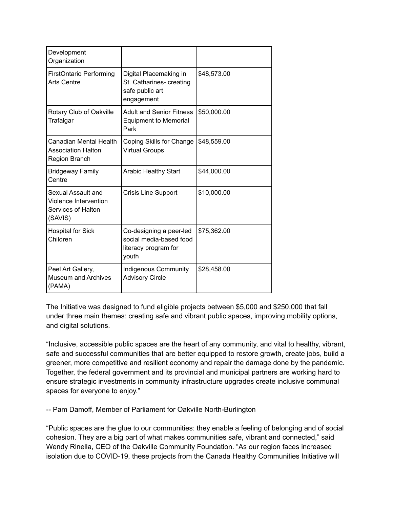| Development<br>Organization                                                  |                                                                                     |             |
|------------------------------------------------------------------------------|-------------------------------------------------------------------------------------|-------------|
| <b>FirstOntario Performing</b><br><b>Arts Centre</b>                         | Digital Placemaking in<br>St. Catharines- creating<br>safe public art<br>engagement | \$48,573.00 |
| Rotary Club of Oakville<br>Trafalgar                                         | <b>Adult and Senior Fitness</b><br><b>Equipment to Memorial</b><br>Park             | \$50,000.00 |
| Canadian Mental Health<br><b>Association Halton</b><br>Region Branch         | Coping Skills for Change<br><b>Virtual Groups</b>                                   | \$48,559.00 |
| <b>Bridgeway Family</b><br>Centre                                            | <b>Arabic Healthy Start</b>                                                         | \$44,000.00 |
| Sexual Assault and<br>Violence Intervention<br>Services of Halton<br>(SAVIS) | <b>Crisis Line Support</b>                                                          | \$10,000.00 |
| <b>Hospital for Sick</b><br>Children                                         | Co-designing a peer-led<br>social media-based food<br>literacy program for<br>youth | \$75,362.00 |
| Peel Art Gallery,<br><b>Museum and Archives</b><br>(PAMA)                    | <b>Indigenous Community</b><br><b>Advisory Circle</b>                               | \$28,458.00 |

The Initiative was designed to fund eligible projects between \$5,000 and \$250,000 that fall under three main themes: creating safe and vibrant public spaces, improving mobility options, and digital solutions.

"Inclusive, accessible public spaces are the heart of any community, and vital to healthy, vibrant, safe and successful communities that are better equipped to restore growth, create jobs, build a greener, more competitive and resilient economy and repair the damage done by the pandemic. Together, the federal government and its provincial and municipal partners are working hard to ensure strategic investments in community infrastructure upgrades create inclusive communal spaces for everyone to enjoy."

-- Pam Damoff, Member of Parliament for Oakville North-Burlington

"Public spaces are the glue to our communities: they enable a feeling of belonging and of social cohesion. They are a big part of what makes communities safe, vibrant and connected," said Wendy Rinella, CEO of the Oakville Community Foundation. "As our region faces increased isolation due to COVID-19, these projects from the Canada Healthy Communities Initiative will